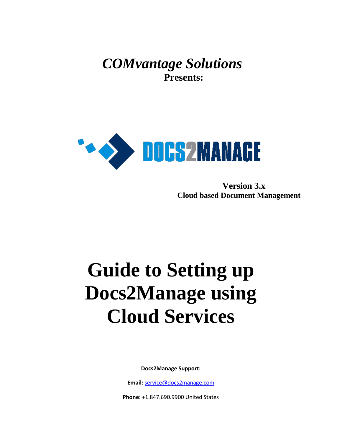*COMvantage Solutions*  **Presents:**



 **Version 3.x Cloud based Document Management** 

# **Guide to Setting up Docs2Manage using Cloud Services**

**Docs2Manage Support:**

**Email:** [service@docs2manage.com](mailto:service@docs2manage.com)

**Phone:** +1.847.690.9900 United States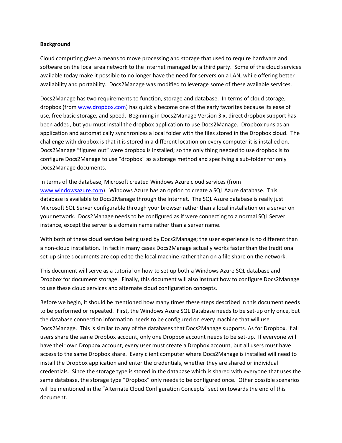## **Background**

Cloud computing gives a means to move processing and storage that used to require hardware and software on the local area network to the Internet managed by a third party. Some of the cloud services available today make it possible to no longer have the need for servers on a LAN, while offering better availability and portability. Docs2Manage was modified to leverage some of these available services.

Docs2Manage has two requirements to function, storage and database. In terms of cloud storage, dropbox (fro[m www.dropbox.com\)](http://www.dropbox.com/) has quickly become one of the early favorites because its ease of use, free basic storage, and speed. Beginning in Docs2Manage Version 3.x, direct dropbox support has been added, but you must install the dropbox application to use Docs2Manage. Dropbox runs as an application and automatically synchronizes a local folder with the files stored in the Dropbox cloud. The challenge with dropbox is that it is stored in a different location on every computer it is installed on. Docs2Manage "figures out" were dropbox is installed; so the only thing needed to use dropbox is to configure Docs2Manage to use "dropbox" as a storage method and specifying a sub-folder for only Docs2Manage documents.

In terms of the database, Microsoft created Windows Azure cloud services (from [www.windowsazure.com\)](http://www.windowsazure.com/). Windows Azure has an option to create a SQL Azure database. This database is available to Docs2Manage through the Internet. The SQL Azure database is really just Microsoft SQL Server configurable through your browser rather than a local installation on a server on your network. Docs2Manage needs to be configured as if were connecting to a normal SQL Server instance, except the server is a domain name rather than a server name.

With both of these cloud services being used by Docs2Manage; the user experience is no different than a non-cloud installation. In fact in many cases Docs2Manage actually works faster than the traditional set-up since documents are copied to the local machine rather than on a file share on the network.

This document will serve as a tutorial on how to set up both a Windows Azure SQL database and Dropbox for document storage. Finally, this document will also instruct how to configure Docs2Manage to use these cloud services and alternate cloud configuration concepts.

Before we begin, it should be mentioned how many times these steps described in this document needs to be performed or repeated. First, the Windows Azure SQL Database needs to be set-up only once, but the database connection information needs to be configured on every machine that will use Docs2Manage. This is similar to any of the databases that Docs2Manage supports. As for Dropbox, if all users share the same Dropbox account, only one Dropbox account needs to be set-up. If everyone will have their own Dropbox account, every user must create a Dropbox account, but all users must have access to the same Dropbox share. Every client computer where Docs2Manage is installed will need to install the Dropbox application and enter the credentials, whether they are shared or individual credentials. Since the storage type is stored in the database which is shared with everyone that uses the same database, the storage type "Dropbox" only needs to be configured once. Other possible scenarios will be mentioned in the "Alternate Cloud Configuration Concepts" section towards the end of this document.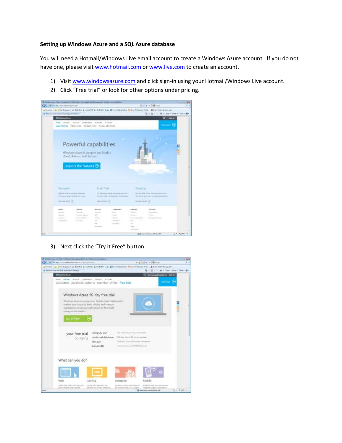## **Setting up Windows Azure and a SQL Azure database**

You will need a Hotmail/Windows Live email account to create a Windows Azure account. If you do not have one, please visit [www.hotmail.com](http://www.hotmail.com/) or [www.live.com](http://www.live.com/) to create an account.

- 1) Visit [www.windowsazure.com](http://www.windowsazure.com/) and click sign-in using your Hotmail/Windows Live account.
- 2) Click "Free trial" or look for other options under pricing.



3) Next click the "Try it Free" button.

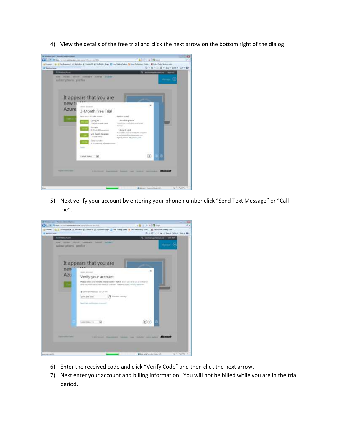4) View the details of the free trial and click the next arrow on the bottom right of the dialog.



5) Next verify your account by entering your phone number click "Send Text Message" or "Call me".



- 6) Enter the received code and click "Verify Code" and then click the next arrow.
- 7) Next enter your account and billing information. You will not be billed while you are in the trial period.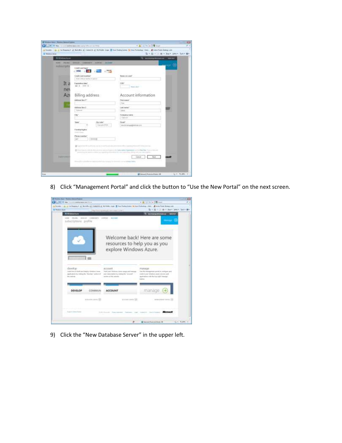

8) Click "Management Portal" and click the button to "Use the New Portal" on the next screen.



9) Click the "New Database Server" in the upper left.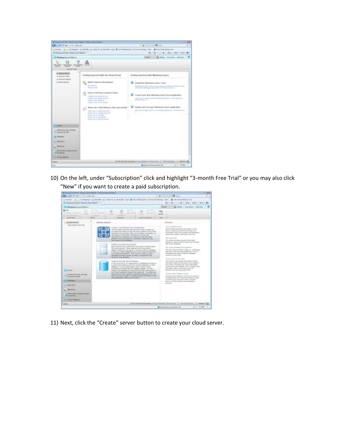

10) On the left, under "Subscription" click and highlight "3-month Free Trial" or you may also click "New" if you want to create a paid subscription.

| commental fiscals. We also a character from the commental fiscals of the first com-                                                                                                                                                                             |                                                                                                                                                                                                                                                                                                                                                                                                                                                                                                                                                                                                                                                                                                                                                                                                                                                                                                                                                                                                                                                                                                                                                                                                                                                                                                                                                                                                                                                                                                                                                                                                                                                                                                                                                                                                                                                                                                                                                                                                                                                                                                                                                                                                                                                                                                                                                                                                                                                                                                                                                                                                                                                                                                                                                                                                                                                                                                                   |
|-----------------------------------------------------------------------------------------------------------------------------------------------------------------------------------------------------------------------------------------------------------------|-------------------------------------------------------------------------------------------------------------------------------------------------------------------------------------------------------------------------------------------------------------------------------------------------------------------------------------------------------------------------------------------------------------------------------------------------------------------------------------------------------------------------------------------------------------------------------------------------------------------------------------------------------------------------------------------------------------------------------------------------------------------------------------------------------------------------------------------------------------------------------------------------------------------------------------------------------------------------------------------------------------------------------------------------------------------------------------------------------------------------------------------------------------------------------------------------------------------------------------------------------------------------------------------------------------------------------------------------------------------------------------------------------------------------------------------------------------------------------------------------------------------------------------------------------------------------------------------------------------------------------------------------------------------------------------------------------------------------------------------------------------------------------------------------------------------------------------------------------------------------------------------------------------------------------------------------------------------------------------------------------------------------------------------------------------------------------------------------------------------------------------------------------------------------------------------------------------------------------------------------------------------------------------------------------------------------------------------------------------------------------------------------------------------------------------------------------------------------------------------------------------------------------------------------------------------------------------------------------------------------------------------------------------------------------------------------------------------------------------------------------------------------------------------------------------------------------------------------------------------------------------------------------------------|
| $-240$ (22 May)<br><b>Control additions</b>                                                                                                                                                                                                                     | $+1$ and 111 (4) the 1000 streets                                                                                                                                                                                                                                                                                                                                                                                                                                                                                                                                                                                                                                                                                                                                                                                                                                                                                                                                                                                                                                                                                                                                                                                                                                                                                                                                                                                                                                                                                                                                                                                                                                                                                                                                                                                                                                                                                                                                                                                                                                                                                                                                                                                                                                                                                                                                                                                                                                                                                                                                                                                                                                                                                                                                                                                                                                                                                 |
|                                                                                                                                                                                                                                                                 | a house. In a britannia of behind of locatily of the fully time. If has been posed to be following their of the Claim beauty                                                                                                                                                                                                                                                                                                                                                                                                                                                                                                                                                                                                                                                                                                                                                                                                                                                                                                                                                                                                                                                                                                                                                                                                                                                                                                                                                                                                                                                                                                                                                                                                                                                                                                                                                                                                                                                                                                                                                                                                                                                                                                                                                                                                                                                                                                                                                                                                                                                                                                                                                                                                                                                                                                                                                                                      |
| of Management Port & Windows Award Material                                                                                                                                                                                                                     | vill = 1 m = line line . line . They did                                                                                                                                                                                                                                                                                                                                                                                                                                                                                                                                                                                                                                                                                                                                                                                                                                                                                                                                                                                                                                                                                                                                                                                                                                                                                                                                                                                                                                                                                                                                                                                                                                                                                                                                                                                                                                                                                                                                                                                                                                                                                                                                                                                                                                                                                                                                                                                                                                                                                                                                                                                                                                                                                                                                                                                                                                                                          |
| 7 Windsweitungsfleiter:                                                                                                                                                                                                                                         | <b>EX Athres 1 Feet States 1 State Flat.</b><br><b>Branch</b>                                                                                                                                                                                                                                                                                                                                                                                                                                                                                                                                                                                                                                                                                                                                                                                                                                                                                                                                                                                                                                                                                                                                                                                                                                                                                                                                                                                                                                                                                                                                                                                                                                                                                                                                                                                                                                                                                                                                                                                                                                                                                                                                                                                                                                                                                                                                                                                                                                                                                                                                                                                                                                                                                                                                                                                                                                                     |
| <b>SETTING</b>                                                                                                                                                                                                                                                  | 44<br>at the                                                                                                                                                                                                                                                                                                                                                                                                                                                                                                                                                                                                                                                                                                                                                                                                                                                                                                                                                                                                                                                                                                                                                                                                                                                                                                                                                                                                                                                                                                                                                                                                                                                                                                                                                                                                                                                                                                                                                                                                                                                                                                                                                                                                                                                                                                                                                                                                                                                                                                                                                                                                                                                                                                                                                                                                                                                                                                      |
| s.                                                                                                                                                                                                                                                              | <b>Full land</b><br><b>SALE</b><br><b>Social ARESTACO</b>                                                                                                                                                                                                                                                                                                                                                                                                                                                                                                                                                                                                                                                                                                                                                                                                                                                                                                                                                                                                                                                                                                                                                                                                                                                                                                                                                                                                                                                                                                                                                                                                                                                                                                                                                                                                                                                                                                                                                                                                                                                                                                                                                                                                                                                                                                                                                                                                                                                                                                                                                                                                                                                                                                                                                                                                                                                         |
| <b>Satting Highest</b><br><b>BG 3 Jacobs From Three</b>                                                                                                                                                                                                         | <b>Customhado</b><br>Links Woman Links                                                                                                                                                                                                                                                                                                                                                                                                                                                                                                                                                                                                                                                                                                                                                                                                                                                                                                                                                                                                                                                                                                                                                                                                                                                                                                                                                                                                                                                                                                                                                                                                                                                                                                                                                                                                                                                                                                                                                                                                                                                                                                                                                                                                                                                                                                                                                                                                                                                                                                                                                                                                                                                                                                                                                                                                                                                                            |
| <b>STATE</b><br><b>Instituted their streets. All the water</b><br><b>Browning &amp; Link</b><br><b><i><u>Ingles Walter</u></i></b><br><b><i><u>Registration</u></i></b><br><b>RAFINIA BLA. MASSAGE CANNOTE</b><br><b>FAILERS</b><br><b>Californial Services</b> | I hapke a hard Whitling's decise furnacioner.<br>signal when the bank of the second contribution and second contributions<br>That Announced Children Thermody Constitutes Parliam is collected paint.<br>Apu's, makeling has activitat prima and<br>manifestate in the credit and a first of \$25. Am che chall form should be some-<br>procedureds, have by the product decompositions.<br>thorough present of dealership state state and allowing design dealership<br>wintrusters, leagued resources, and more.<br>Why cannot be the classification dealership at winning the<br>and collision on excessive lines boomself on the USL James-<br>Well, Historick Editor<br>addeducers. Color areas arounded at anticolorate, and the short field.<br>Aprile percent and excellence.<br>This artistic procedure arounded by the mode<br>Francisco Annier suggestions about 104 Mot such<br>Will, Alarta Hitchwess.<br>Cliental & Head SSS, Johnny Nernan<br>Said: Wheel Advis system which contain include hands<br>2022 - Hourst - International - Process at state of<br>ES, Anyel general. When preding a ES, Asure series.<br>This will discuss the paper interest contact to the party<br>states for a channel for under starsale," single cases sainters of critations.<br>ES, Après del province guillairez pe fois la<br>a read-only insider detection and a series in all of provider team.<br>Intellectual group structure commissed astronomic<br>are created polynophody. Then you can coaste out your<br>delubation to this minute.<br>intendences and legion special an income in response of EQL.<br><b>NO FOR THE LAND BRAYERAL</b><br>Winnipeg Johann Terent Stop<br>This detectional amount dead ideas but this deadly<br><b>Steele &amp; line SSL haute Satzleys</b><br>offeringent and anniversal and basic companies<br>4. Mrs. Worre painted to a stagebra group of definitions and solar pro-<br>as a stroke and stress this deale possiblely.<br>a partical expressional car paint for recitario distanguni. In deci-<br>including Askins Interests. Near Yo Artsides and<br>Waterman, Lou back changed badden, Lobaton, Millenn, Millenn,<br>information about cases with most alm.<br>presidents, and other familier determine nitures. This seri-<br>point found and the found<br>chrome grown carrierum bei parisa selfrat rika (fritt, Aguita profitat vil-<br>Fie Chelle Debeliere Toyotach M2, Abliances, Toyotache boat.<br>Merchand March Flatfords Tunisier<br>instance that any opposition, the canonical concerns of the process<br>THIS ABOVE GETAP TRICKS ON MURDAY ASSOCIATED FOR A 17 YEAR.<br>Mindless Abure Padfress Transvicità industrial à<br>scarce and highlights request an once entropy<br>competition and of interestation makes with a<br>age dainy folio by size bills stayes, detailened<br>Assne, and the brooked record Application<br>and states.<br>u u |
| <b>Theats</b>                                                                                                                                                                                                                                                   | A \$\$\$2.00 month incompany finings becomes increased last . (  then not homest-<br><b>Fashers L</b>                                                                                                                                                                                                                                                                                                                                                                                                                                                                                                                                                                                                                                                                                                                                                                                                                                                                                                                                                                                                                                                                                                                                                                                                                                                                                                                                                                                                                                                                                                                                                                                                                                                                                                                                                                                                                                                                                                                                                                                                                                                                                                                                                                                                                                                                                                                                                                                                                                                                                                                                                                                                                                                                                                                                                                                                             |
|                                                                                                                                                                                                                                                                 | <b>G</b> Telesco (Massica Pilses, 198<br>116 W. Waller, N.                                                                                                                                                                                                                                                                                                                                                                                                                                                                                                                                                                                                                                                                                                                                                                                                                                                                                                                                                                                                                                                                                                                                                                                                                                                                                                                                                                                                                                                                                                                                                                                                                                                                                                                                                                                                                                                                                                                                                                                                                                                                                                                                                                                                                                                                                                                                                                                                                                                                                                                                                                                                                                                                                                                                                                                                                                                        |

11) Next, click the "Create" server button to create your cloud server.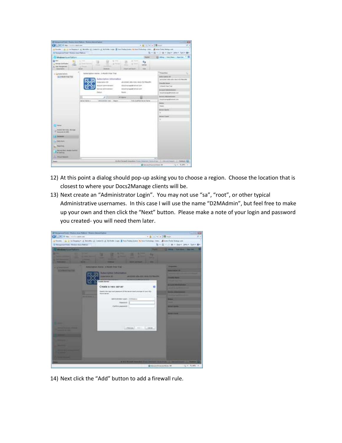| Presumethal Room perform Robertsrothers                                                                                                                                                 |                                                                                                                                                                                                          |                                                                                                                                                    |                                                                                                                                                                                                                                                                                                                                                                     |
|-----------------------------------------------------------------------------------------------------------------------------------------------------------------------------------------|----------------------------------------------------------------------------------------------------------------------------------------------------------------------------------------------------------|----------------------------------------------------------------------------------------------------------------------------------------------------|---------------------------------------------------------------------------------------------------------------------------------------------------------------------------------------------------------------------------------------------------------------------------------------------------------------------------------------------------------------------|
| Call Call of the Common and the                                                                                                                                                         |                                                                                                                                                                                                          | - 4 日 日 日 月 200                                                                                                                                    | . .                                                                                                                                                                                                                                                                                                                                                                 |
| 12 Management French / Manitoral State Platfords                                                                                                                                        | a from the city of bearst 1 Robby 2 County 2 At form the Ethnician beam beachtaing that . Excellent beaches                                                                                              |                                                                                                                                                    | It is 12 to 11 an in Days, player Space \$81.                                                                                                                                                                                                                                                                                                                       |
| E2 Wednes Is an Italian                                                                                                                                                                 |                                                                                                                                                                                                          | <b>Traiter</b>                                                                                                                                     | and defense 1 Year Chann 1, How Don                                                                                                                                                                                                                                                                                                                                 |
| <b>DE MAIL</b><br><b>Now Inform</b><br>-<br>$\sim$<br>E. last Panganesi<br>Search and                                                                                                   | <b>The Corporation</b><br>-<br>×<br><b>SILLER</b><br><b>TALIENS</b>                                                                                                                                      | <b>B</b> Free<br>٠,<br><b>B</b> Smo<br><b>SHOW</b><br>tal <sup>e</sup> sali:<br><b>Threat Ave Frank</b><br>-                                       |                                                                                                                                                                                                                                                                                                                                                                     |
| · Graduators<br>SCONDENHOUS                                                                                                                                                             | ladacretius kome: 3-Worth Hide True<br>Baltecription 14/erondices<br><b>Edwardton III</b><br>Account Americans<br>benew admirations<br><b>Editor</b><br>ALC: UNK<br>Abbrickly car: 1 Barr<br>Mrie Sele y | atalmati any-tos desarto meante.<br>DOG/27/04/05/08 02:00:00<br>ROOCFINGTRANSFORMAL.com<br><b>Baady</b><br>Writered C.<br>hills Guild McDevic Norw | <sup>4</sup> Freezones<br><b>Industrial Edit</b><br>as maked late anti-basi 411 Neuahs<br><b>TERMIN GALLEY</b><br>1-Ford Fee That<br><b>Anizone interestimated</b><br><b>Highlaneous Photograph</b><br><b>Infant: Ministrations</b><br><b><i>District in regard for the Lines</i></b><br><b>Hann</b><br>friend.<br><b>Harash George</b><br>٠<br><b>PROVEN FLOOR</b> |
| <b>ZW4</b><br><b>SPECIALISTS</b><br>T ANGUAL EXIST<br><b>I Telefone</b><br>The TWN Belli<br><b>Separated</b><br><b>Lieven B.A. Angel Lettra</b><br><b>A calling</b><br>L. House Denmark |                                                                                                                                                                                                          |                                                                                                                                                    | ۰                                                                                                                                                                                                                                                                                                                                                                   |
| <b>Sente</b>                                                                                                                                                                            |                                                                                                                                                                                                          |                                                                                                                                                    | VALINHAR Lowered how covers form it us, 2, mo or hours. 2, means G                                                                                                                                                                                                                                                                                                  |
|                                                                                                                                                                                         |                                                                                                                                                                                                          | <b>Winners Forevolting 18</b>                                                                                                                      | 14 v. 6, 1891 v.                                                                                                                                                                                                                                                                                                                                                    |

- 12) At this point a dialog should pop-up asking you to choose a region. Choose the location that is closest to where your Docs2Manage clients will be.
- 13) Next create an "Administrator Login". You may not use "sa", "root", or other typical Administrative usernames. In this case I will use the name "D2MAdmin", but feel free to make up your own and then click the "Next" button. Please make a note of your login and password you created- you will need them later.



14) Next click the "Add" button to add a firewall rule.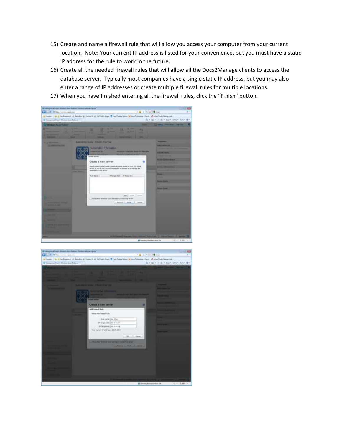- 15) Create and name a firewall rule that will allow you access your computer from your current location. Note: Your current IP address is listed for your convenience, but you must have a static IP address for the rule to work in the future.
- 16) Create all the needed firewall rules that will allow all the Docs2Manage clients to access the database server. Typically most companies have a single static IP address, but you may also enter a range of IP addresses or create multiple firewall rules for multiple locations.
- 17) When you have finished entering all the firewall rules, click the "Finish" button.



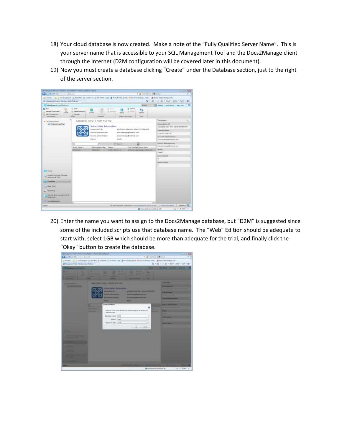- 18) Your cloud database is now created. Make a note of the "Fully Qualified Server Name". This is your server name that is accessible to your SQL Management Tool and the Docs2Manage client through the Internet (D2M configuration will be covered later in this document).
- 19) Now you must create a database clicking "Create" under the Database section, just to the right of the server section.



20) Enter the name you want to assign to the Docs2Manage database, but "D2M" is suggested since some of the included scripts use that database name. The "Web" Edition should be adequate to start with, select 1GB which should be more than adequate for the trial, and finally click the "Okay" button to create the database.

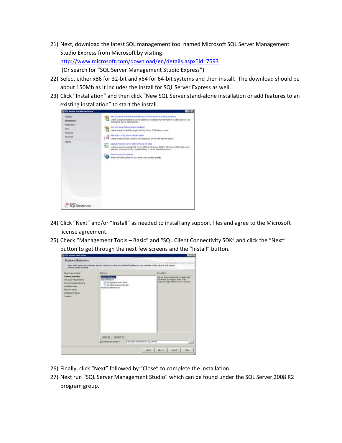- 21) Next, download the latest SQL management tool named Microsoft SQL Server Management Studio Express from Microsoft by visiting: <http://www.microsoft.com/download/en/details.aspx?id=7593> (Or search for "SQL Server Management Studio Express")
- 22) Select either x86 for 32-bit and x64 for 64-bit systems and then install. The download should be about 150Mb as it includes the install for SQL Server Express as well.
- 23) Click "Installation" and then click "New SQL Server stand-alone installation or add features to an existing installation" to start the install.

| <b>W103 Server Installation Center</b>                                                                                  | 異因数                                                                                                                                                                                                                                                                                                                                                                                                                                                                                                                                                                                                                                                                                                                                                                                                               |
|-------------------------------------------------------------------------------------------------------------------------|-------------------------------------------------------------------------------------------------------------------------------------------------------------------------------------------------------------------------------------------------------------------------------------------------------------------------------------------------------------------------------------------------------------------------------------------------------------------------------------------------------------------------------------------------------------------------------------------------------------------------------------------------------------------------------------------------------------------------------------------------------------------------------------------------------------------|
| <b>John was</b><br><b>Avetallation</b><br><b>Fluireamond</b><br>Tools<br>Descurrer<br><b>Alfonsof</b><br><b>CENTRAL</b> | text Sta terve stand-also notable to additionance to an exemple data por<br>Laurich-a vegantitio install 501. Server 2000 in a non-character annimore or in additionmarin an<br>evaking SQL Server 2000 instance.<br>the 111 Street failured dualer matalaner<br>Laurch a witantico épilafia elegitivnode 50); Spriver 2008 falleyer cluster;<br>Additions to a SQL beyon failows cluster<br>TY.<br>Laurch is record to add a nede to an entiting SQL before 2008 Askerer studes<br>Llegrade From SQL Servey 2008 or SQL Server 2020<br>Laurel: a reairdito appeale (C), the net (1830 or 30), Server 2008 to 50), Server 2008. Before your<br>apgrade, you should ran the Upgrade Adviser to detect potential problems.<br>bumth for product -golding<br>brend Monoah (Edse-ke 53, Server 2008 predail spiders). |
|                                                                                                                         |                                                                                                                                                                                                                                                                                                                                                                                                                                                                                                                                                                                                                                                                                                                                                                                                                   |
| <b>GROVAT 2008</b>                                                                                                      |                                                                                                                                                                                                                                                                                                                                                                                                                                                                                                                                                                                                                                                                                                                                                                                                                   |

- 24) Click "Next" and/or "Install" as needed to install any support files and agree to the Microsoft license agreement.
- 25) Check "Management Tools Basic" and "SQL Client Connectivity SDK" and click the "Next" button to get through the next few screens and the "Install" button.



- 26) Finally, click "Next" followed by "Close" to complete the installation.
- 27) Next run "SQL Server Management Studio" which can be found under the SQL Server 2008 R2 program group.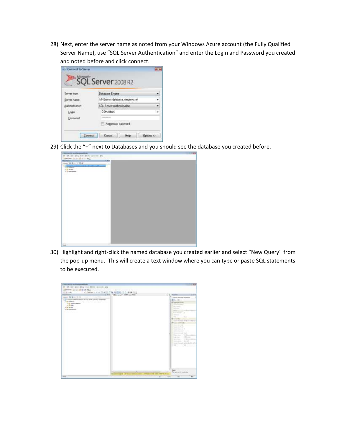28) Next, enter the server name as noted from your Windows Azure account (the Fully Qualified Server Name), use "SQL Server Authentication" and enter the Login and Password you created and noted before and click connect.

| Server type:    | Database Engine                 |  |
|-----------------|---------------------------------|--|
| Server name     | fs742nvmnt.database.windows.net |  |
| Authentication. | SQL Server Authentication       |  |
| Login           | D2MAdmin                        |  |
| Password:       | ---------                       |  |

29) Click the "+" next to Databases and you should see the database you created before.

| Chrysler and the problems.                                                |        | - 199 |
|---------------------------------------------------------------------------|--------|-------|
| In 10 cm line has been present the<br>Directory (b) (b) (d) (b) (b) (R) a |        |       |
| <b>Review, Thursday</b>                                                   | $-113$ |       |
| (past W.R.) (12) 22-                                                      |        |       |
| $-500$<br><b>TERRITORY</b><br>2 in Freeman<br>5752                        | w      |       |
| to the former<br>2 St Recorded                                            |        |       |
| ×                                                                         |        |       |
|                                                                           |        |       |
|                                                                           |        |       |
|                                                                           |        |       |
|                                                                           |        |       |
|                                                                           |        |       |
|                                                                           |        |       |
|                                                                           |        |       |
|                                                                           |        |       |
|                                                                           |        |       |
|                                                                           |        |       |
|                                                                           |        |       |
|                                                                           |        |       |
|                                                                           |        |       |
|                                                                           |        |       |
|                                                                           |        |       |
|                                                                           |        |       |
|                                                                           |        |       |
|                                                                           |        |       |
|                                                                           |        |       |
|                                                                           |        |       |
|                                                                           |        |       |
| man-                                                                      |        |       |

30) Highlight and right-click the named database you created earlier and select "New Query" from the pop-up menu. This will create a text window where you can type or paste SQL statements to be executed.

| a Motors of the Haracoad last-                                                                                                                                                                              |                                                                                                                                                                                                                                                                                                                                                                                                                                                                                                            |
|-------------------------------------------------------------------------------------------------------------------------------------------------------------------------------------------------------------|------------------------------------------------------------------------------------------------------------------------------------------------------------------------------------------------------------------------------------------------------------------------------------------------------------------------------------------------------------------------------------------------------------------------------------------------------------------------------------------------------------|
| the last size must delive down<br><b>VAN</b>                                                                                                                                                                |                                                                                                                                                                                                                                                                                                                                                                                                                                                                                                            |
| 2 Mer San   (2 12 14)<br>M.H.H.J.<br><b>RETRITIVE</b>                                                                                                                                                       |                                                                                                                                                                                                                                                                                                                                                                                                                                                                                                            |
| < figure << < 日本語 F 等 数数数 2 号 検索 N 。<br>10122-004                                                                                                                                                           |                                                                                                                                                                                                                                                                                                                                                                                                                                                                                                            |
| NUMBER<br>U.S.W., 1983myLight McMeasuChill                                                                                                                                                                  | $3.5 - 10$<br>$-2.3$                                                                                                                                                                                                                                                                                                                                                                                                                                                                                       |
| Interested BE BE to 1971.<br>is a hiller-colorer reduced its level (1935). Obliness<br>to the Presidents<br><b>PERMIT AT LEASE</b><br>5.15 breed ladest<br>A. 12 640<br>th light between<br>a 12 Orangenado | of conventions.<br>工机器<br><b>IE Assnam man</b><br>To be received as the fact<br>$\sim$<br>-<br>$\sim$<br><b>Science of A</b><br><b>Solemne</b><br>Sep.<br>-<br><b>B</b> Lawrence<br>Treasure should depart of the state<br><b>B.Commission Formation</b><br><b>State State</b><br>marketing of<br>make age<br>model and their<br>Receiver, 1984<br>1944 Ave.<br><b>Subscribers</b><br><b>START</b><br><b>STATISTICS</b><br>Dramaton, Lindak.<br>School formed a shit dustries just<br>$\sim$<br><b>SEC</b> |
|                                                                                                                                                                                                             | <b>Base</b>                                                                                                                                                                                                                                                                                                                                                                                                                                                                                                |
| Hip                                                                                                                                                                                                         | The instrument discussion of their<br>- 1<br><b>SEARCH THE THE PERSON LIGHT</b>                                                                                                                                                                                                                                                                                                                                                                                                                            |
| <b>Williamson Little College</b><br>the property of the control of the con-                                                                                                                                 | the contract of the contract of the contract of the contract of the contract of the contract of the contract of<br>THE R. P. LEWIS CO., LANSING MICH.                                                                                                                                                                                                                                                                                                                                                      |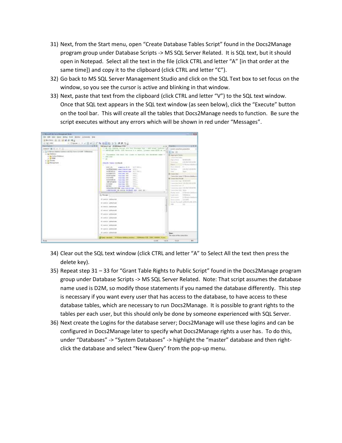- 31) Next, from the Start menu, open "Create Database Tables Script" found in the Docs2Manage program group under Database Scripts -> MS SQL Server Related. It is SQL text, but it should open in Notepad. Select all the text in the file (click CTRL and letter "A" [in that order at the same time]) and copy it to the clipboard (click CTRL and letter "C").
- 32) Go back to MS SQL Server Management Studio and click on the SQL Text box to set focus on the window, so you see the cursor is active and blinking in that window.
- 33) Next, paste that text from the clipboard (click CTRL and letter "V") to the SQL text window. Once that SQL text appears in the SQL text window (as seen below), click the "Execute" button on the tool bar. This will create all the tables that Docs2Manage needs to function. Be sure the script executes without any errors which will be shown in red under "Messages".

| 6.5Amm = トッカメンに作る日目D.3.2 ままだ<br><b>Their Ferries</b><br>Detroit W. T. W. T. JL.<br><b>CARD AT A REPORT OF A REPORT OF A REPORT OF A REPORT OF A REPORT OF A REPORT OF A REPORT OF A REPORT OF A REPORT OF A REPORT OF A REPORT OF A REPORT OF A REPORT OF A REPORT OF A REPORT OF A REPORT OF A REPORT OF A REPORT </b><br>- 3 NTRees Address contemporarily from LLT LPF DAMagazy<br>$n$ Ed Estern<br>in the Schene instances<br>o In laresty<br>o. 2 Million Park<br><b>Catalican</b> | Intrigence Logic US Additions CO'se-<br>٠<br>It as his status incur car we means the - and must indeer ad<br>FY INTERVALT AUTO 1243 Interview 4 m center; pieces when \$500 m to:<br>IT Homesters the nith too close on surmitty the deamses some of<br>$-$ . EXC, link<br>$ -$<br><b>IREATE THILE CORAIN-</b><br>n vi C<br>$400 - 18$<br>come to the Auto<br><b>CONTINUES</b><br>INSTRUCTION and Library Hills<br>LUXIMOR - mellassening Sirritory<br>manufacturers (SE)<br><b>BRACK</b><br>SOURISTITS<br>SOUTHERN vestion 101<br>TOLC.<br><b>SHALL</b><br><b>BOTTER</b><br>Viewidan (Will<br><b>BRAY</b><br>ROODSCE Harches (201)<br>TRAC<br><b>JEPORTAINE VALUALISE!</b><br><b>BILLY</b><br><b>SCERER</b><br>VALLABLE (SD)<br>1.9956<br>30703.<br><b>VALCANC (300)</b><br><b>TESTING STEEL AND A CONCLUSION CONTINUES.</b><br>INTELLINE FOL DISCOC FULNARY KNY ISSUE 19<br>11 Milcount<br>Ill nowest addresses<br>IN UNITS ATTACHED<br>15.00811.445605400<br>of normal addressed<br>IT covers addressed<br>(8 cover) addressed<br>IN HORSE ARRANGE<br>Ill conce and announce<br>(i) norver approach<br>IF you can give your<br>×<br>Globy wested: 1930 see hide as seeker. 1984 how (Vs 1984 1989). Fire | $-7.3$<br>Titanthia<br>Connect comme floor granacities<br>翻算 组元<br><b>H</b> Kalenskir lanes<br>Income doub indicat<br>44444491 ---<br>The common<br><b>A URLY RIFLERED</b><br><b>Statute Associate</b><br>A Miller and standard<br><b><i><u>Ingerne</u></i></b><br><b><i><u>Experienced</u></i></b><br>MARKET<br>4 VIN Literature<br>Fax:<br>Table<br><b>M</b> I present that<br>Committed mass 15 Hillmann Artistics<br><b>RE Lineare Serie Fire all</b><br>Commerting stage, \$1,000,000<br>11 (assessment front) 1-8 (222) 5-81-14 FRC<br>Lines but you if<br>Capacities many 4-6/1227 9-84-00-Fe/<br>Commercial Intel: Opinio<br>ALCOHOL: U.S.<br><b>Pearson money</b><br>To the data page and<br>Lington and<br>14 Minutes<br>$\sim$<br>$\overline{\phantom{a}}$<br>Westphaline . LLEATH<br>Wales, Travell, and U.S. arts, 12761<br>man.<br>TİL<br><b>Base</b><br>The paint of the cannot fine |
|-----------------------------------------------------------------------------------------------------------------------------------------------------------------------------------------------------------------------------------------------------------------------------------------------------------------------------------------------------------------------------------------------------------------------------------------------------------------------------------------|-------------------------------------------------------------------------------------------------------------------------------------------------------------------------------------------------------------------------------------------------------------------------------------------------------------------------------------------------------------------------------------------------------------------------------------------------------------------------------------------------------------------------------------------------------------------------------------------------------------------------------------------------------------------------------------------------------------------------------------------------------------------------------------------------------------------------------------------------------------------------------------------------------------------------------------------------------------------------------------------------------------------------------------------------------------------------------------------------------------------------------------------------------------------------------------------------------------|-----------------------------------------------------------------------------------------------------------------------------------------------------------------------------------------------------------------------------------------------------------------------------------------------------------------------------------------------------------------------------------------------------------------------------------------------------------------------------------------------------------------------------------------------------------------------------------------------------------------------------------------------------------------------------------------------------------------------------------------------------------------------------------------------------------------------------------------------------------------------------------------------------|
| <b>Brack</b>                                                                                                                                                                                                                                                                                                                                                                                                                                                                            | $k = 4.05$ .<br>164.14                                                                                                                                                                                                                                                                                                                                                                                                                                                                                                                                                                                                                                                                                                                                                                                                                                                                                                                                                                                                                                                                                                                                                                                      | $(3 - 1)$<br>.861                                                                                                                                                                                                                                                                                                                                                                                                                                                                                                                                                                                                                                                                                                                                                                                                                                                                                   |

- 34) Clear out the SQL text window (click CTRL and letter "A" to Select All the text then press the delete key).
- 35) Repeat step 31 33 for "Grant Table Rights to Public Script" found in the Docs2Manage program group under Database Scripts -> MS SQL Server Related. Note: That script assumes the database name used is D2M, so modify those statements if you named the database differently. This step is necessary if you want every user that has access to the database, to have access to these database tables, which are necessary to run Docs2Manage. It is possible to grant rights to the tables per each user, but this should only be done by someone experienced with SQL Server.
- 36) Next create the Logins for the database server; Docs2Manage will use these logins and can be configured in Docs2Manage later to specify what Docs2Manage rights a user has. To do this, under "Databases" -> "System Databases" -> highlight the "master" database and then rightclick the database and select "New Query" from the pop-up menu.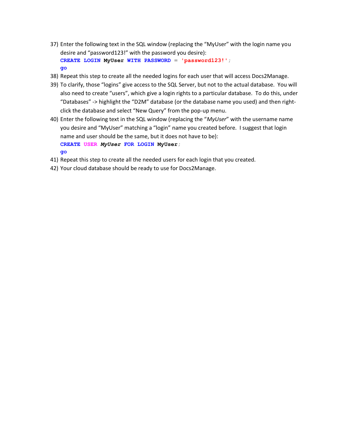- 37) Enter the following text in the SQL window (replacing the "MyUser" with the login name you desire and "password123!" with the password you desire): **CREATE LOGIN MyUser WITH PASSWORD = 'password123!'; go**
- 38) Repeat this step to create all the needed logins for each user that will access Docs2Manage.
- 39) To clarify, those "logins" give access to the SQL Server, but not to the actual database. You will also need to create "users", which give a login rights to a particular database. To do this, under "Databases" -> highlight the "D2M" database (or the database name you used) and then rightclick the database and select "New Query" from the pop-up menu.
- 40) Enter the following text in the SQL window (replacing the "*MyUser*" with the username name you desire and "MyUser" matching a "login" name you created before. I suggest that login name and user should be the same, but it does not have to be): **CREATE USER** *MyUser* **FOR LOGIN MyUser; go**
- 41) Repeat this step to create all the needed users for each login that you created.
- 42) Your cloud database should be ready to use for Docs2Manage.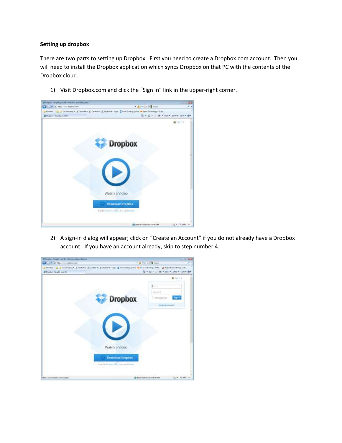# **Setting up dropbox**

There are two parts to setting up Dropbox. First you need to create a Dropbox.com account. Then you will need to install the Dropbox application which syncs Dropbox on that PC with the contents of the Dropbox cloud.

1) Visit Dropbox.com and click the "Sign in" link in the upper-right corner.



2) A sign-in dialog will appear; click on "Create an Account" if you do not already have a Dropbox account. If you have an account already, skip to step number 4.

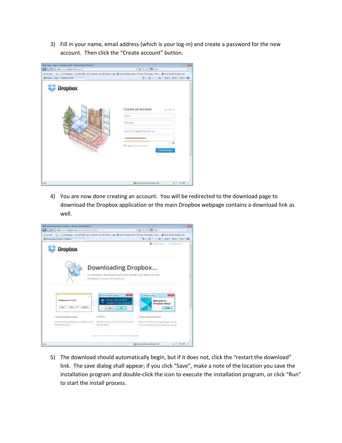3) Fill in your name, email address (which is your log-in) and create a password for the new account. Then click the "Create account" button.

| Call of a bac mechanism spin-          | +基与区域(mg)                                                                                                                                                                                                                           |  |
|----------------------------------------|-------------------------------------------------------------------------------------------------------------------------------------------------------------------------------------------------------------------------------------|--|
|                                        | $\frac{1}{2}$ facts: $\frac{1}{2}$ $\frac{1}{2}$ (x heps) * $\frac{1}{2}$ (and $\frac{1}{2}$ (and ); $\frac{1}{2}$ (in ) $\frac{1}{2}$ (an ) integrates $\frac{1}{2}$ (an ) integrates $\frac{1}{2}$ (an ) integrates $\frac{1}{2}$ |  |
| all frequent Signace Greatly your Min- | 及十日 v (2) m v . burn playe Tylen Br                                                                                                                                                                                                 |  |
| <b>Dropbox</b>                         | <b>Kanadia</b> (11)<br>Create an account<br>AR 1881 MA<br>Dues-<br>Manzen<br>docs2manage@hritmail.com<br>*************<br>Wington to Dramon horry<br><b>Cours account</b>                                                           |  |
|                                        |                                                                                                                                                                                                                                     |  |

4) You are now done creating an account. You will be redirected to the download page to download the Dropbox application or the main Dropbox webpage contains a download link as well.



5) The download should automatically begin, but if it does not, click the "restart the download" link. The save dialog shall appear; if you click "Save", make a note of the location you save the installation program and double-click the icon to execute the installation program, or click "Run" to start the install process.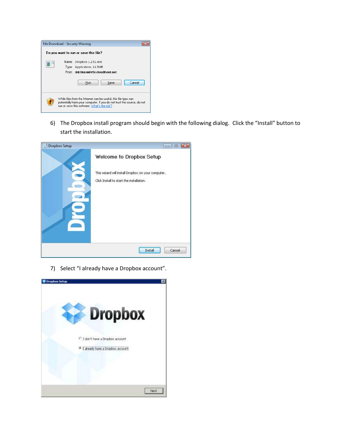

6) The Dropbox install program should begin with the following dialog. Click the "Install" button to start the installation.

| <b>Dropbox Setup</b> | $\Box$   0<br>Iж                                                                               |
|----------------------|------------------------------------------------------------------------------------------------|
|                      | Welcome to Dropbox Setup                                                                       |
|                      | This wizard will install Dropbox on your computer.<br>Click Install to start the installation. |
|                      | Install<br>Cancel                                                                              |

7) Select "I already have a Dropbox account".

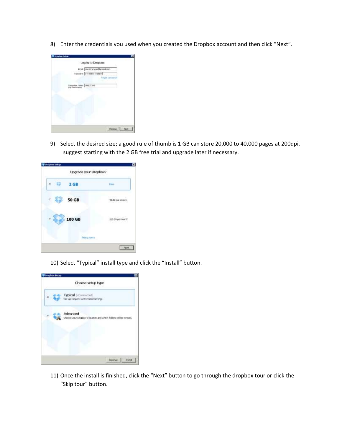8) Enter the credentials you used when you created the Dropbox account and then click "Next".



9) Select the desired size; a good rule of thumb is 1 GB can store 20,000 to 40,000 pages at 200dpi. I suggest starting with the 2 GB free trial and upgrade later if necessary.

| <b>F100</b><br>\$9.99 par munth             |
|---------------------------------------------|
|                                             |
|                                             |
| chun tabhan na saoine.<br>\$19.99 pix month |
|                                             |
|                                             |

10) Select "Typical" install type and click the "Install" button.



11) Once the install is finished, click the "Next" button to go through the dropbox tour or click the "Skip tour" button.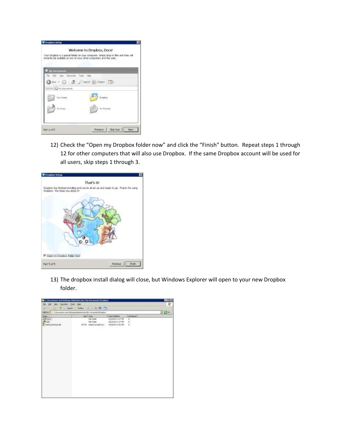| instantly be available on any of your other computers and the web. | Welcome to Dropbox, Docs!<br>Your Dropbox is a special folder on your computer. Simply drop in files and they will |
|--------------------------------------------------------------------|--------------------------------------------------------------------------------------------------------------------|
| <b>My Documents</b>                                                |                                                                                                                    |
| File Soft View Finishted Table web                                 |                                                                                                                    |
| ◎ Fan • ◎ 虚し Hero 語 Norr Ⅲ+                                        |                                                                                                                    |
| FIRE EL My Socioente                                               |                                                                                                                    |
| Doumback                                                           | .<br>Drugovi                                                                                                       |
|                                                                    |                                                                                                                    |
| My Music                                                           | <b>Hy Rictures</b>                                                                                                 |
|                                                                    |                                                                                                                    |
|                                                                    |                                                                                                                    |
|                                                                    | Previous:   Mig four<br>Faint                                                                                      |

12) Check the "Open my Dropbox folder now" and click the "Finish" button. Repeat steps 1 through 12 for other computers that will also use Dropbox. If the same Dropbox account will be used for all users, skip steps 1 through 3.



13) The dropbox install dialog will close, but Windows Explorer will open to your new Dropbox folder.

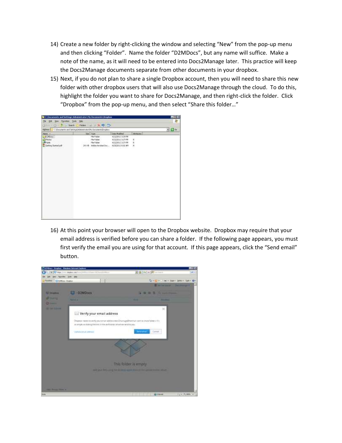- 14) Create a new folder by right-clicking the window and selecting "New" from the pop-up menu and then clicking "Folder". Name the folder "D2MDocs", but any name will suffice. Make a note of the name, as it will need to be entered into Docs2Manage later. This practice will keep the Docs2Manage documents separate from other documents in your dropbox.
- 15) Next, if you do not plan to share a single Dropbox account, then you will need to share this new folder with other dropbox users that will also use Docs2Manage through the cloud. To do this, highlight the folder you want to share for Docs2Manage, and then right-click the folder. Click "Dropbox" from the pop-up menu, and then select "Share this folder…"

|                                     | To Circumseuts and Settings', Administrator's No Decements' Drophus |                                      |             | $-00$  |
|-------------------------------------|---------------------------------------------------------------------|--------------------------------------|-------------|--------|
| The D.M. More Parcellac Library and |                                                                     |                                      |             |        |
| Little - City Till South            | Publics of the SC RD City                                           |                                      |             |        |
|                                     | Referent C.D Children and SettingstAdsmitrate (M) Document/Drophon  |                                      |             | $-10o$ |
| Name of                             | Ser Type                                                            | Day Mobiles                          | Albrication |        |
| DIMONS!<br><b>California</b>        | <b>Plie Politier</b><br><b>Plu Folder</b>                           | 412/2012 5:28 PM<br>412/2012 5:27 PM | ×           |        |
| <b>BRUK</b>                         | <b>Pile Folder</b>                                                  | 412200123:229W                       |             |        |
| The benefit points                  | 24149 Adds Archardisc                                               | 4428/2012 6:02 AP                    | ř,          |        |
| realistication                      |                                                                     |                                      | w           |        |
|                                     |                                                                     |                                      |             |        |
|                                     |                                                                     |                                      |             |        |
|                                     |                                                                     |                                      |             |        |
|                                     |                                                                     |                                      |             |        |
|                                     |                                                                     |                                      |             |        |
|                                     |                                                                     |                                      |             |        |
|                                     |                                                                     |                                      |             |        |
|                                     |                                                                     |                                      |             |        |
|                                     |                                                                     |                                      |             |        |
|                                     |                                                                     |                                      |             |        |
|                                     |                                                                     |                                      |             |        |
|                                     |                                                                     |                                      |             |        |
|                                     |                                                                     |                                      |             |        |
|                                     |                                                                     |                                      |             |        |
|                                     |                                                                     |                                      |             |        |
|                                     |                                                                     |                                      |             |        |
|                                     |                                                                     |                                      |             |        |
|                                     |                                                                     |                                      |             |        |
|                                     |                                                                     |                                      |             |        |
|                                     |                                                                     |                                      |             |        |
|                                     |                                                                     |                                      |             |        |
|                                     |                                                                     |                                      |             |        |

16) At this point your browser will open to the Dropbox website. Dropbox may require that your email address is verified before you can share a folder. If the following page appears, you must first verify the email you are using for that account. If this page appears, click the "Send email" button.

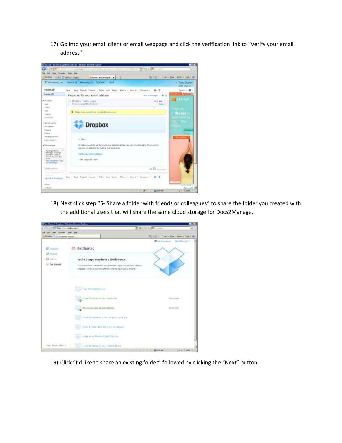17) Go into your email client or email webpage and click the verification link to "Verify your email address".



18) Next click step "5- Share a folder with friends or colleagues" to share the folder you created with the additional users that will share the same cloud storage for Docs2Manage.

| C Cat Musical Drophac Washingtown Internati Explanat                                 |                    |                                                                                                                                                                              |                            |                                           | 自己的           |
|--------------------------------------------------------------------------------------|--------------------|------------------------------------------------------------------------------------------------------------------------------------------------------------------------------|----------------------------|-------------------------------------------|---------------|
| TCP Maps (more shippen ship) or                                                      |                    |                                                                                                                                                                              | the best addressed         |                                           | $= +1$        |
| low - Panelies - John John<br>Déé                                                    |                    |                                                                                                                                                                              |                            |                                           |               |
| Fushel<br><b>Charl Meted Druster</b>                                                 |                    |                                                                                                                                                                              |                            | The Richmond County of British County and |               |
| <b>Total Bar</b><br><b>UP Dragmans</b><br><b>Faring</b><br>@ finerys:<br>Get Started | <b>Get Started</b> | You're 3 steps away from a 250MB bonus.<br>The sereo-quests between the ethnics how to get the reasons of your<br>Dealers from a but the protein and will give you a teneror |                            | 第 Gertree moon                            | Outs Manage # |
|                                                                                      |                    | 1. Take methophisman<br><b>CONTRACT</b><br>reach Original as an excellent                                                                                                    |                            | Communi                                   |               |
|                                                                                      |                    | <b>C</b> Redissayer District lines<br>4. Head Dragter at other computer you use                                                                                              |                            | Constitute 1                              |               |
|                                                                                      |                    | The than a hole with himila in cellagues<br>the transport of the track                                                                                                       |                            |                                           |               |
| Help Prices Mar in                                                                   |                    | 14 - statte same blands to just Diagbox<br>CONTRACTOR CONTRACTOR<br>3.3. In sold throutes an examination direct                                                              |                            |                                           |               |
|                                                                                      |                    |                                                                                                                                                                              | The House of the Education |                                           | Far Tilles    |

19) Click "I'd like to share an existing folder" followed by clicking the "Next" button.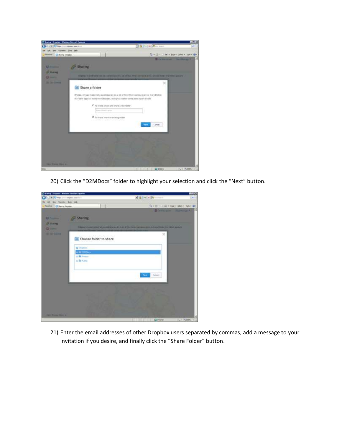

20) Click the "D2MDocs" folder to highlight your selection and click the "Next" button.



21) Enter the email addresses of other Dropbox users separated by commas, add a message to your invitation if you desire, and finally click the "Share Folder" button.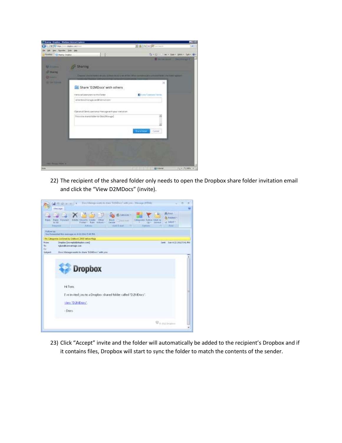

22) The recipient of the shared folder only needs to open the Dropbox share folder invitation email and click the "View D2MDocs" (invite).

|                                         | Too Monge earn to they TJMDen' arty on - Dirage (HDA)<br>$400 + 304$<br>Listinge<br>35 First<br><b>IB</b> sawting a<br>J, belefart-<br><b>Rigdy: Romated</b><br>finishe ideas by Creste<br><b>Block</b><br>Estegarde: Folklin, Mark &<br><b>CITIES</b><br>$-2$ Hell lead<br>ur Salad ><br><b>Kir Adi</b><br>Forder - Tube Actions -<br><b>Leville</b><br><b>SACK CONVERT</b> |  |
|-----------------------------------------|------------------------------------------------------------------------------------------------------------------------------------------------------------------------------------------------------------------------------------------------------------------------------------------------------------------------------------------------------------------------------|--|
|                                         | <b>Direct England</b><br>lieussa<br><b>Addition</b><br>31648<br><b>Historici</b><br>16                                                                                                                                                                                                                                                                                       |  |
| <b>Followrite</b>                       | Tex formated this excuse on 4/22/2012 5:44 FM.                                                                                                                                                                                                                                                                                                                               |  |
|                                         | No Categories (colored by Outdank 2003 liabow flag)                                                                                                                                                                                                                                                                                                                          |  |
| <b>Front</b><br>$^{46}$<br>$\epsilon$ e | Drapber: (representation cont)<br>Tent: Sun 4/22/2012 5:41 PM<br>toking@coinvantage.com                                                                                                                                                                                                                                                                                      |  |
| Susaut                                  | Dec: Manage worth to share 'D2MDocs' with you                                                                                                                                                                                                                                                                                                                                |  |
|                                         | <b>Dropbox</b>                                                                                                                                                                                                                                                                                                                                                               |  |
|                                         | Hi Tom                                                                                                                                                                                                                                                                                                                                                                       |  |
|                                         | I've invited you to a Dropbox shared folder called "D2MDocs".                                                                                                                                                                                                                                                                                                                |  |
|                                         | View D2MDors                                                                                                                                                                                                                                                                                                                                                                 |  |
|                                         | $-Dore.$                                                                                                                                                                                                                                                                                                                                                                     |  |
|                                         | We may brooker                                                                                                                                                                                                                                                                                                                                                               |  |

23) Click "Accept" invite and the folder will automatically be added to the recipient's Dropbox and if it contains files, Dropbox will start to sync the folder to match the contents of the sender.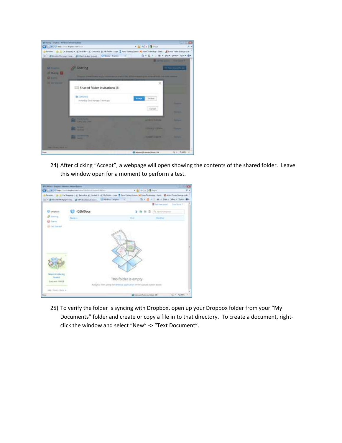

24) After clicking "Accept", a webpage will open showing the contents of the shared folder. Leave this window open for a moment to perform a test.



25) To verify the folder is syncing with Dropbox, open up your Dropbox folder from your "My Documents" folder and create or copy a file in to that directory. To create a document, rightclick the window and select "New" -> "Text Document".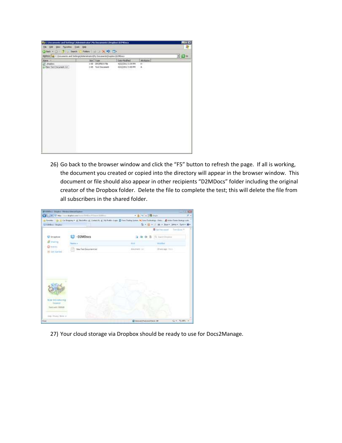

26) Go back to the browser window and click the "F5" button to refresh the page. If all is working, the document you created or copied into the directory will appear in the browser window. This document or file should also appear in other recipients "D2MDocs" folder including the original creator of the Dropbox folder. Delete the file to complete the test; this will delete the file from all subscribers in the shared folder.

|                                            | 2) = 17 May toys Anderson have \$350 and \$350 to                                                                                                      | · 备14 × 14 mpm |                                         |  |
|--------------------------------------------|--------------------------------------------------------------------------------------------------------------------------------------------------------|----------------|-----------------------------------------|--|
| 1203 Eur-Trader                            | is facetain the an On Seppent of Seductor of Center in at the funts cleare 2 from Tushing Seven Se tone Schedule at Ontario all Area Schedule products |                | B. Hill Hill as a box box box box Br    |  |
|                                            |                                                                                                                                                        |                | <b>Billetter</b> coast<br>Torri Gland 9 |  |
| <b>U</b> Drapitor                          | D2MDocs                                                                                                                                                |                | G. SeathDrapher                         |  |
| Gilberta                                   | hada e                                                                                                                                                 | <b>STAR</b>    | <b><i>ARCHITECTS</i></b>                |  |
| <b>OF EYEN EL</b><br><b>HE CAY TERMINE</b> | New Text Document but                                                                                                                                  | Abbahwer (un)  | 18 MARINER COLLA                        |  |
|                                            |                                                                                                                                                        |                |                                         |  |
| New Intramering<br><b>Teams</b>            |                                                                                                                                                        |                |                                         |  |
| Taxn am 190020<br>real Phone More in       |                                                                                                                                                        |                |                                         |  |

27) Your cloud storage via Dropbox should be ready to use for Docs2Manage.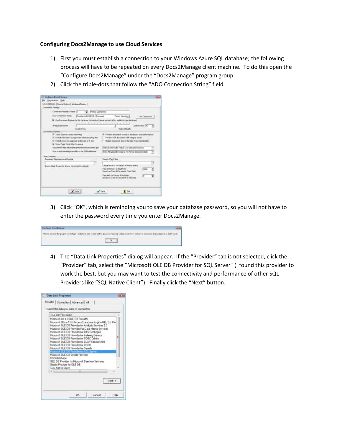### **Configuring Docs2Manage to use Cloud Services**

- 1) First you must establish a connection to your Windows Azure SQL database; the following process will have to be repeated on every Docs2Manage client machine. To do this open the "Configure Docs2Manage" under the "Docs2Manage" program group.
- 2) Click the triple-dots that follow the "ADO Connection String" field.

| Connection Settings                                                                                                         |                                                                                                                 |                                                                                                                           |                          |   |
|-----------------------------------------------------------------------------------------------------------------------------|-----------------------------------------------------------------------------------------------------------------|---------------------------------------------------------------------------------------------------------------------------|--------------------------|---|
| Connection Number / Name 71                                                                                                 | ٠<br><b>Penau Conwriter</b>                                                                                     |                                                                                                                           |                          |   |
| ADO Connection String                                                                                                       | Porsibert-GLOUEDER 1-Patroniet                                                                                  | Penalt Sacratic nil                                                                                                       | Tast Connection          |   |
|                                                                                                                             |                                                                                                                 | 57 U.S. Document Explore for this clotable e connection (Learn professive) for traditional type databased                 |                          |   |
| (Peg Dualis Lens)                                                                                                           | <b>Wed Score</b>                                                                                                | Highest Chairby                                                                                                           | <b>Curere Value, Tro</b> |   |
| Convenience Optera                                                                                                          |                                                                                                                 |                                                                                                                           |                          |   |
| Sharehap TalakAhe Sceneg                                                                                                    | P Include licens on page ged and in item in H best<br>Document Folder intornation; professor on choose and got! | IT Modate document does to the state vitian importing their<br>Show Dates Folder Faith in Grid Lister perhamancal         |                          |   |
|                                                                                                                             |                                                                                                                 | Sine File Zipped in Traprel File Format becommended                                                                       |                          | ٠ |
| How to add normage type Mer is the EZM radiation                                                                            |                                                                                                                 |                                                                                                                           |                          |   |
|                                                                                                                             |                                                                                                                 |                                                                                                                           |                          |   |
| <b>Banjaney Discharg Long Dyenesis</b>                                                                                      |                                                                                                                 | <b>Cannet Pro Edito</b>                                                                                                   |                          |   |
|                                                                                                                             | щ                                                                                                               |                                                                                                                           |                          | 迥 |
| Other Dvesicher*<br>Lower Lowis, if a sense the all same connectived to network.)<br><b>KIONIK WAS DIE AUGUSTE DER WIND</b> |                                                                                                                 | Leave black forces detail Wedner withof<br>Dash of History - Detauf Filter<br>Brannot on Date of Grecuwant - Start Date L | 3000                     |   |

3) Click "OK", which is reminding you to save your database password, so you will not have to enter the password every time you enter Docs2Manage.

| Слования Российского                                                                                                                                                                                                                                                     |  |
|--------------------------------------------------------------------------------------------------------------------------------------------------------------------------------------------------------------------------------------------------------------------------|--|
| Please choose the proper server type / distribute and check "Althur password service" unders you desire to have a password disting appear in D2M book.<br>in the second company of the second second company of the second second company of the second second second se |  |
|                                                                                                                                                                                                                                                                          |  |
|                                                                                                                                                                                                                                                                          |  |

4) The "Data Link Properties" dialog will appear. If the "Provider" tab is not selected, click the "Provider" tab, select the "Microsoft OLE DB Provider for SQL Server" (I found this provider to work the best, but you may want to test the connectivity and performance of other SQL Providers like "SQL Native Client"). Finally click the "Next" button.

| Select the data you want to connect to:                                                                                                                                                                                                                                                                                                                                                                                                                                                     |  |
|---------------------------------------------------------------------------------------------------------------------------------------------------------------------------------------------------------------------------------------------------------------------------------------------------------------------------------------------------------------------------------------------------------------------------------------------------------------------------------------------|--|
| <b>OLE DB Providerial</b>                                                                                                                                                                                                                                                                                                                                                                                                                                                                   |  |
| Microsoft Jet 4.0 OLE OB Provider<br>Microsoft Office 12.6 Access Database Engine OLE DB Pro-<br>Microsoft DLE DB Provider for Analysis Services 3.0<br>Microsoft OLE DB Provider For Data Mining Services<br>Microsoft OLE DB Provider for DTS Packages<br>Microsoft DLE DB Provider for Indexing Service<br>Microsoft OLE DB Provider for GDBC Drivetz<br>Microsoft DLE DB Provider for DLAP Services 9.0<br>Microsoft DLE DB Provider for Dracle<br>Microsoft DLE DB Provider for Search |  |
| Microsoft OLE DB Simple Provider                                                                                                                                                                                                                                                                                                                                                                                                                                                            |  |
| <b>MSD ataShape</b><br>OLE DB Provider for Microsoft Directory Services<br><b>Drack</b> Provider for DLE DB<br>50L Native Dient                                                                                                                                                                                                                                                                                                                                                             |  |
| m                                                                                                                                                                                                                                                                                                                                                                                                                                                                                           |  |
|                                                                                                                                                                                                                                                                                                                                                                                                                                                                                             |  |
| Newt 53                                                                                                                                                                                                                                                                                                                                                                                                                                                                                     |  |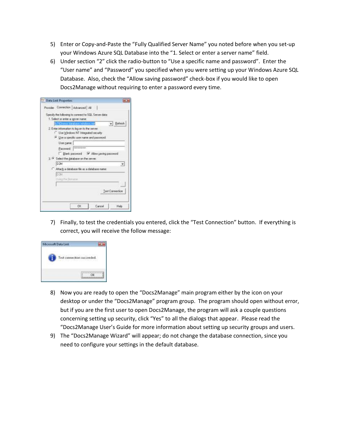- 5) Enter or Copy-and-Paste the "Fully Qualified Server Name" you noted before when you set-up your Windows Azure SQL Database into the "1. Select or enter a server name" field.
- 6) Under section "2" click the radio-button to "Use a specific name and password". Enter the "User name" and "Password" you specified when you were setting up your Windows Azure SQL Database. Also, check the "Allow saving password" check-box if you would like to open Docs2Manage without requiring to enter a password every time.

| <b>Data Link Properties</b>                                                               |
|-------------------------------------------------------------------------------------------|
| Provider Connection Advanced All                                                          |
| Specify the following to connect to SQL Server data:<br>1. Select or enter a server neme: |
| $\bullet$ Behesh<br>9174 menor database rendows net                                       |
| 2. Enter information to log on to the server.<br>Use Windows NT Integrated security       |
| <sup>(4)</sup> Lise a specific user name and password.                                    |
| User name                                                                                 |
| AMAAAHAAHAAHA<br>Password                                                                 |
| Blank password V Allow saving password                                                    |
| 3. If Select the gatabase on the server.                                                  |
| D2M                                                                                       |
| Attach a database file as a database name:                                                |
| D266                                                                                      |
| Ling F= Benene                                                                            |
|                                                                                           |
|                                                                                           |
| Test Connection                                                                           |
|                                                                                           |
| аĸ<br>Cancel<br>Help                                                                      |
|                                                                                           |

7) Finally, to test the credentials you entered, click the "Test Connection" button. If everything is correct, you will receive the follow message:



- 8) Now you are ready to open the "Docs2Manage" main program either by the icon on your desktop or under the "Docs2Manage" program group. The program should open without error, but if you are the first user to open Docs2Manage, the program will ask a couple questions concerning setting up security, click "Yes" to all the dialogs that appear. Please read the "Docs2Manage User's Guide for more information about setting up security groups and users.
- 9) The "Docs2Manage Wizard" will appear; do not change the database connection, since you need to configure your settings in the default database.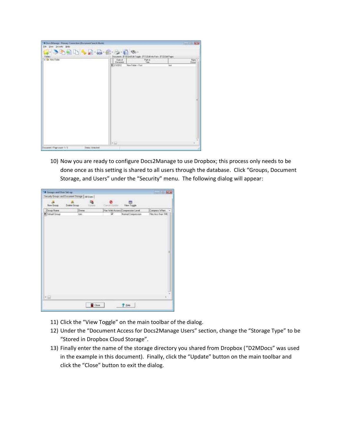| J. SABHAR & B.S.R<br>Folder<br><b>K &amp; New Forley</b> | Date of            | Documents #10(GatEdk Toggle - IFT1) Edit His Fami - IFT2) Edit Pages | <b>TTERS</b> | Nats - |
|----------------------------------------------------------|--------------------|----------------------------------------------------------------------|--------------|--------|
|                                                          | Bacaner<br>1200072 | Taha<br>Maw Felder-+Tech                                             | Ind          | Datur  |
|                                                          |                    |                                                                      |              |        |
|                                                          |                    |                                                                      |              |        |
|                                                          |                    |                                                                      |              |        |
|                                                          |                    |                                                                      |              |        |
|                                                          |                    |                                                                      |              |        |
|                                                          |                    |                                                                      |              |        |
|                                                          |                    |                                                                      |              |        |
|                                                          |                    |                                                                      |              |        |
|                                                          |                    |                                                                      |              |        |

10) Now you are ready to configure Docs2Manage to use Dropbox; this process only needs to be done once as this setting is shared to all users through the database. Click "Groups, Document Storage, and Users" under the "Security" menu. The following dialog will appear:

|                      | Security Groups and Document Storage   AB Users |                      | <b>HAY</b> |                                  |                   |
|----------------------|-------------------------------------------------|----------------------|------------|----------------------------------|-------------------|
| $\sim$<br>New Group: | <b>Ja</b><br>Delete Group                       | E&<br><b>Histole</b> | and the    | im)<br>View Toggle               |                   |
| Group Name           | <b>Divnin</b>                                   |                      |            | Han Web Accent Congression Level | Corputt Whin      |
| Default Groop        | loeir                                           |                      | W          | Norial Congression               | Fleckers than 1Mt |
|                      |                                                 |                      |            |                                  |                   |
|                      |                                                 |                      |            |                                  |                   |
|                      |                                                 |                      |            |                                  |                   |
|                      |                                                 |                      |            |                                  |                   |
|                      |                                                 |                      |            |                                  |                   |
|                      |                                                 |                      |            |                                  |                   |
|                      |                                                 |                      |            |                                  |                   |
|                      |                                                 |                      |            |                                  |                   |
|                      |                                                 |                      |            |                                  |                   |
|                      |                                                 |                      |            |                                  | ᇑ                 |
|                      |                                                 |                      |            |                                  |                   |
|                      |                                                 |                      |            |                                  |                   |
|                      |                                                 |                      |            |                                  |                   |
| 大仙                   |                                                 |                      |            |                                  |                   |

- 11) Click the "View Toggle" on the main toolbar of the dialog.
- 12) Under the "Document Access for Docs2Manage Users" section, change the "Storage Type" to be "Stored in Dropbox Cloud Storage".
- 13) Finally enter the name of the storage directory you shared from Dropbox ("D2MDocs" was used in the example in this document). Finally, click the "Update" button on the main toolbar and click the "Close" button to exit the dialog.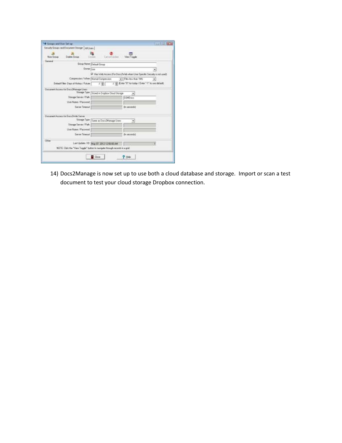|              | Security Groups and Document Starage   All Livera                          |                         |                                              |                        |                                                                            |
|--------------|----------------------------------------------------------------------------|-------------------------|----------------------------------------------|------------------------|----------------------------------------------------------------------------|
| New Group:   | Defete Brough                                                              | India                   | Cannott System                               | View Toggle            |                                                                            |
| Sened        |                                                                            |                         |                                              |                        |                                                                            |
|              |                                                                            | Group Name Dataut Scoup |                                              |                        |                                                                            |
|              |                                                                            | Divinet Nate            |                                              |                        |                                                                            |
|              |                                                                            |                         |                                              |                        | V Has Web Access (For Docs/In/eb when User Specific Security in Not used). |
|              | Compression / When Noanal Compression                                      |                         |                                              | - Files less than 1945 |                                                                            |
|              | Detaut Filer-Days of History / Future                                      |                         | 3 O.L                                        |                        | :1 [ Enter "0" for today / Enter "1" to use default)                       |
|              | Dacument Access for Dacs Manage Users                                      |                         |                                              |                        |                                                                            |
|              | <b><u>Stonage Тури</u></b>                                                 |                         | Stored in Dropbox Cloud Storage              | ۰                      |                                                                            |
|              | Stauge Server / Palh                                                       |                         |                                              | <b>COMDISCE</b>        |                                                                            |
|              | Liser Name / Password                                                      |                         |                                              |                        |                                                                            |
|              | Sarver Timeout                                                             |                         |                                              | (In seconds)           |                                                                            |
|              |                                                                            |                         |                                              |                        |                                                                            |
|              | Decument Access for Docs Zwieb Sarver                                      |                         |                                              |                        |                                                                            |
|              | Stoage Tape                                                                |                         | Same as Doct2Manage Users                    | ٠                      |                                                                            |
|              | Skeape Server / Path                                                       |                         |                                              |                        |                                                                            |
|              | User Nave / Painword                                                       |                         |                                              |                        |                                                                            |
|              |                                                                            |                         |                                              |                        |                                                                            |
| <b>COLOR</b> | Server Timecut                                                             |                         |                                              | lla secondo            |                                                                            |
| Other        |                                                                            |                         |                                              |                        |                                                                            |
|              |                                                                            |                         | Last Update / ID   May (2), 2012 12:56:00 AM |                        | ۴                                                                          |
|              | NOTE: Click the "View Toggle" bulken in nextgale through records in a gret |                         |                                              |                        |                                                                            |
|              |                                                                            |                         |                                              |                        |                                                                            |

14) Docs2Manage is now set up to use both a cloud database and storage. Import or scan a test document to test your cloud storage Dropbox connection.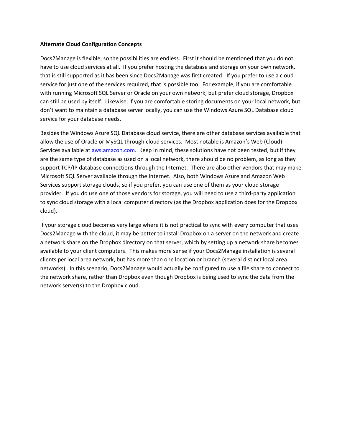## **Alternate Cloud Configuration Concepts**

Docs2Manage is flexible, so the possibilities are endless. First it should be mentioned that you do not have to use cloud services at all. If you prefer hosting the database and storage on your own network, that is still supported as it has been since Docs2Manage was first created. If you prefer to use a cloud service for just one of the services required, that is possible too. For example, if you are comfortable with running Microsoft SQL Server or Oracle on your own network, but prefer cloud storage, Dropbox can still be used by itself. Likewise, if you are comfortable storing documents on your local network, but don't want to maintain a database server locally, you can use the Windows Azure SQL Database cloud service for your database needs.

Besides the Windows Azure SQL Database cloud service, there are other database services available that allow the use of Oracle or MySQL through cloud services. Most notable is Amazon's Web (Cloud) Services available at [aws.amazon.com.](http://aws.amazon.com/) Keep in mind, these solutions have not been tested, but if they are the same type of database as used on a local network, there should be no problem, as long as they support TCP/IP database connections through the Internet. There are also other vendors that may make Microsoft SQL Server available through the Internet. Also, both Windows Azure and Amazon Web Services support storage clouds, so if you prefer, you can use one of them as your cloud storage provider. If you do use one of those vendors for storage, you will need to use a third-party application to sync cloud storage with a local computer directory (as the Dropbox application does for the Dropbox cloud).

If your storage cloud becomes very large where it is not practical to sync with every computer that uses Docs2Manage with the cloud, it may be better to install Dropbox on a server on the network and create a network share on the Dropbox directory on that server, which by setting up a network share becomes available to your client computers. This makes more sense if your Docs2Manage installation is several clients per local area network, but has more than one location or branch (several distinct local area networks). In this scenario, Docs2Manage would actually be configured to use a file share to connect to the network share, rather than Dropbox even though Dropbox is being used to sync the data from the network server(s) to the Dropbox cloud.